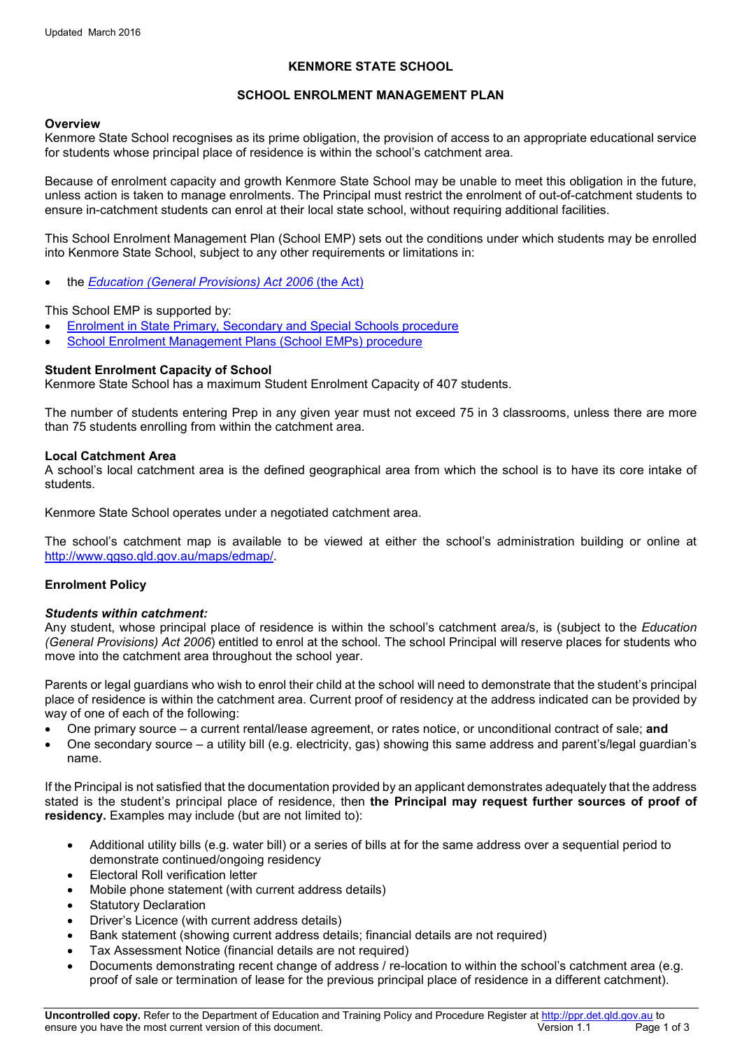# **KENMORE STATE SCHOOL**

# **SCHOOL ENROLMENT MANAGEMENT PLAN**

### **Overview**

Kenmore State School recognises as its prime obligation, the provision of access to an appropriate educational service for students whose principal place of residence is within the school's catchment area.

Because of enrolment capacity and growth Kenmore State School may be unable to meet this obligation in the future, unless action is taken to manage enrolments. The Principal must restrict the enrolment of out-of-catchment students to ensure in-catchment students can enrol at their local state school, without requiring additional facilities.

This School Enrolment Management Plan (School EMP) sets out the conditions under which students may be enrolled into Kenmore State School, subject to any other requirements or limitations in:

• the *[Education \(General Provisions\) Act 2006](https://www.legislation.qld.gov.au/LEGISLTN/CURRENT/E/EducGenPrA06.pdf)* (the Act)

This School EMP is supported by:

- [Enrolment in State Primary, Secondary and Special Schools](http://ppr.det.qld.gov.au/education/management/Pages/Enrolment-in-State-Primary,-Secondary-and-Special-Schools.aspx) procedure
- [School Enrolment Management Plans](http://ppr.det.qld.gov.au/corp/infrastructure/facilities/Pages/School-Enrolment-Management-Plans.aspx) (School EMPs) procedure

## **Student Enrolment Capacity of School**

Kenmore State School has a maximum Student Enrolment Capacity of 407 students.

The number of students entering Prep in any given year must not exceed 75 in 3 classrooms, unless there are more than 75 students enrolling from within the catchment area.

## **Local Catchment Area**

A school's local catchment area is the defined geographical area from which the school is to have its core intake of students.

Kenmore State School operates under a negotiated catchment area.

The school's catchment map is available to be viewed at either the school's administration building or online at [http://www.qgso.qld.gov.au/maps/edmap/.](http://www.qgso.qld.gov.au/maps/edmap/)

# **Enrolment Policy**

### *Students within catchment:*

Any student, whose principal place of residence is within the school's catchment area/s, is (subject to the *Education (General Provisions) Act 2006*) entitled to enrol at the school. The school Principal will reserve places for students who move into the catchment area throughout the school year.

Parents or legal guardians who wish to enrol their child at the school will need to demonstrate that the student's principal place of residence is within the catchment area. Current proof of residency at the address indicated can be provided by way of one of each of the following:

- One primary source a current rental/lease agreement, or rates notice, or unconditional contract of sale; **and**
- One secondary source a utility bill (e.g. electricity, gas) showing this same address and parent's/legal guardian's name.

If the Principal is not satisfied that the documentation provided by an applicant demonstrates adequately that the address stated is the student's principal place of residence, then **the Principal may request further sources of proof of residency.** Examples may include (but are not limited to):

- Additional utility bills (e.g. water bill) or a series of bills at for the same address over a sequential period to demonstrate continued/ongoing residency
- Electoral Roll verification letter
- Mobile phone statement (with current address details)
- **Statutory Declaration**
- Driver's Licence (with current address details)
- Bank statement (showing current address details; financial details are not required)
- Tax Assessment Notice (financial details are not required)
- Documents demonstrating recent change of address / re-location to within the school's catchment area (e.g. proof of sale or termination of lease for the previous principal place of residence in a different catchment).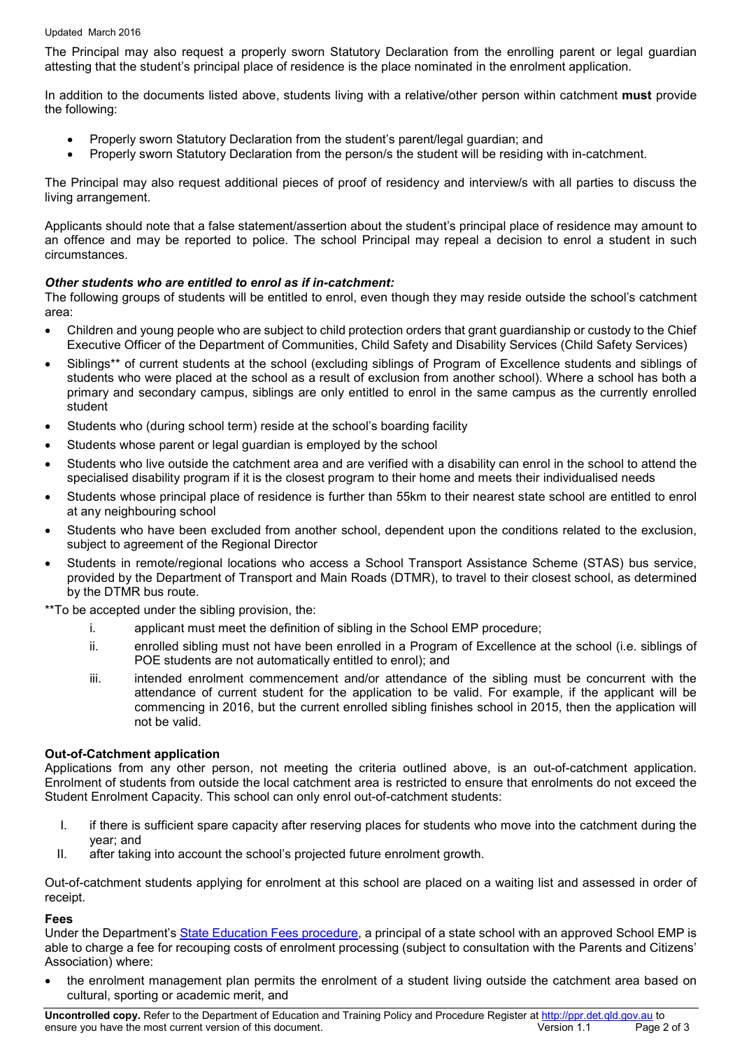#### Updated March 2016

The Principal may also request a properly sworn Statutory Declaration from the enrolling parent or legal guardian attesting that the student's principal place of residence is the place nominated in the enrolment application.

In addition to the documents listed above, students living with a relative/other person within catchment **must** provide the following:

- Properly sworn Statutory Declaration from the student's parent/legal guardian; and
- Properly sworn Statutory Declaration from the person/s the student will be residing with in-catchment.

The Principal may also request additional pieces of proof of residency and interview/s with all parties to discuss the living arrangement.

Applicants should note that a false statement/assertion about the student's principal place of residence may amount to an offence and may be reported to police. The school Principal may repeal a decision to enrol a student in such circumstances.

# *Other students who are entitled to enrol as if in-catchment:*

The following groups of students will be entitled to enrol, even though they may reside outside the school's catchment area:

- Children and young people who are subject to child protection orders that grant guardianship or custody to the Chief Executive Officer of the Department of Communities, Child Safety and Disability Services (Child Safety Services)
- Siblings\*\* of current students at the school (excluding siblings of Program of Excellence students and siblings of students who were placed at the school as a result of exclusion from another school). Where a school has both a primary and secondary campus, siblings are only entitled to enrol in the same campus as the currently enrolled student
- Students who (during school term) reside at the school's boarding facility
- Students whose parent or legal guardian is employed by the school
- Students who live outside the catchment area and are verified with a disability can enrol in the school to attend the specialised disability program if it is the closest program to their home and meets their individualised needs
- Students whose principal place of residence is further than 55km to their nearest state school are entitled to enrol at any neighbouring school
- Students who have been excluded from another school, dependent upon the conditions related to the exclusion, subject to agreement of the Regional Director
- Students in remote/regional locations who access a School Transport Assistance Scheme (STAS) bus service, provided by the Department of Transport and Main Roads (DTMR), to travel to their closest school, as determined by the DTMR bus route.

\*\*To be accepted under the sibling provision, the:

- i. applicant must meet the definition of sibling in the School EMP procedure;
- ii. enrolled sibling must not have been enrolled in a Program of Excellence at the school (i.e. siblings of POE students are not automatically entitled to enrol); and
- iii. intended enrolment commencement and/or attendance of the sibling must be concurrent with the attendance of current student for the application to be valid. For example, if the applicant will be commencing in 2016, but the current enrolled sibling finishes school in 2015, then the application will not be valid.

# **Out-of-Catchment application**

Applications from any other person, not meeting the criteria outlined above, is an out-of-catchment application. Enrolment of students from outside the local catchment area is restricted to ensure that enrolments do not exceed the Student Enrolment Capacity. This school can only enrol out-of-catchment students:

- I. if there is sufficient spare capacity after reserving places for students who move into the catchment during the year; and
- II. after taking into account the school's projected future enrolment growth.

Out-of-catchment students applying for enrolment at this school are placed on a waiting list and assessed in order of receipt.

# **Fees**

Under the Department's [State Education Fees procedure,](http://ppr.det.qld.gov.au/corp/finance/services/Pages/State-Education-Fees.aspx) a principal of a state school with an approved School EMP is able to charge a fee for recouping costs of enrolment processing (subject to consultation with the Parents and Citizens' Association) where:

• the enrolment management plan permits the enrolment of a student living outside the catchment area based on cultural, sporting or academic merit, and